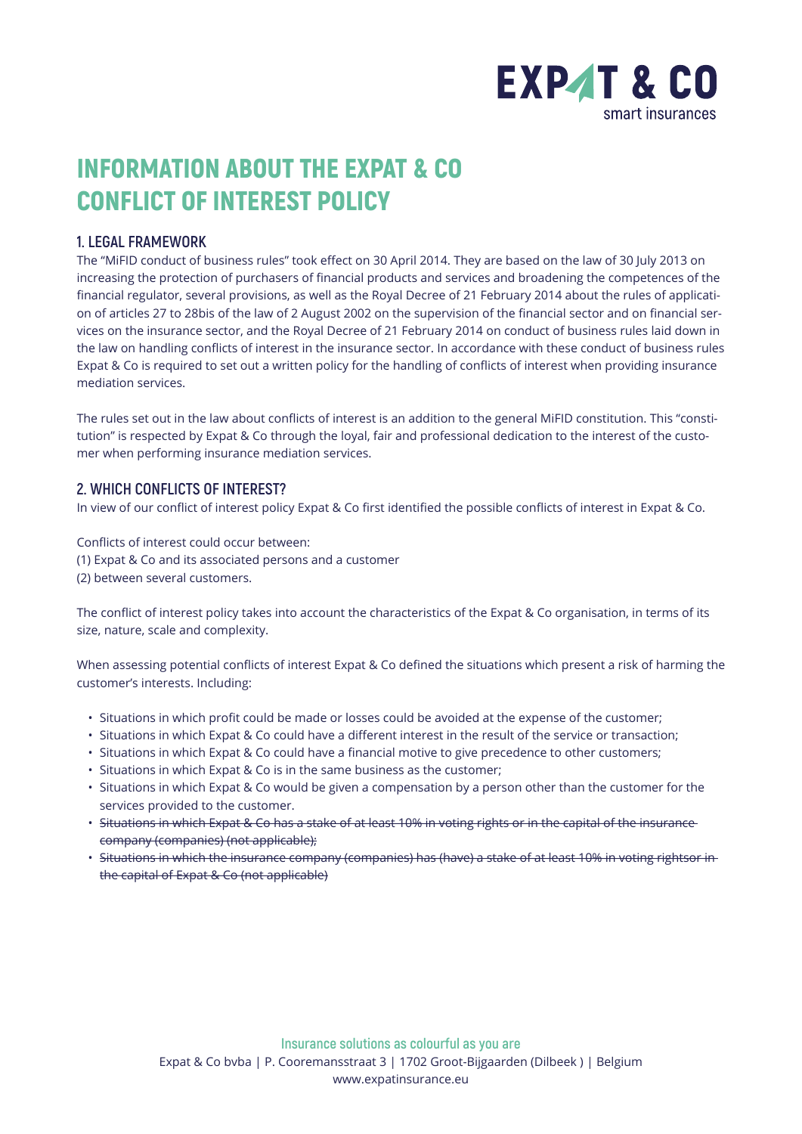

# INFORMATION ABOUT THE EXPAT & CO CONFLICT OF INTEREST POLICY

## **1. LEGAL FRAMEWORK**

The "MiFID conduct of business rules" took effect on 30 April 2014. They are based on the law of 30 July 2013 on increasing the protection of purchasers of financial products and services and broadening the competences of the financial regulator, several provisions, as well as the Royal Decree of 21 February 2014 about the rules of application of articles 27 to 28bis of the law of 2 August 2002 on the supervision of the financial sector and on financial services on the insurance sector, and the Royal Decree of 21 February 2014 on conduct of business rules laid down in the law on handling conflicts of interest in the insurance sector. In accordance with these conduct of business rules Expat & Co is required to set out a written policy for the handling of conflicts of interest when providing insurance mediation services.

The rules set out in the law about conflicts of interest is an addition to the general MiFID constitution. This "constitution" is respected by Expat & Co through the loyal, fair and professional dedication to the interest of the customer when performing insurance mediation services.

### **2. WHICH CONFLICTS OF INTEREST?**

In view of our conflict of interest policy Expat & Co first identified the possible conflicts of interest in Expat & Co.

Conflicts of interest could occur between:

- (1) Expat & Co and its associated persons and a customer
- (2) between several customers.

The conflict of interest policy takes into account the characteristics of the Expat & Co organisation, in terms of its size, nature, scale and complexity.

When assessing potential conflicts of interest Expat & Co defined the situations which present a risk of harming the customer's interests. Including:

- Situations in which profit could be made or losses could be avoided at the expense of the customer;
- Situations in which Expat & Co could have a different interest in the result of the service or transaction;
- Situations in which Expat & Co could have a financial motive to give precedence to other customers;
- Situations in which Expat & Co is in the same business as the customer;
- Situations in which Expat & Co would be given a compensation by a person other than the customer for the services provided to the customer.
- Situations in which Expat & Co has a stake of at least 10% in voting rights or in the capital of the insurance company (companies) (not applicable);
- Situations in which the insurance company (companies) has (have) a stake of at least 10% in voting rightsor in the capital of Expat & Co (not applicable)